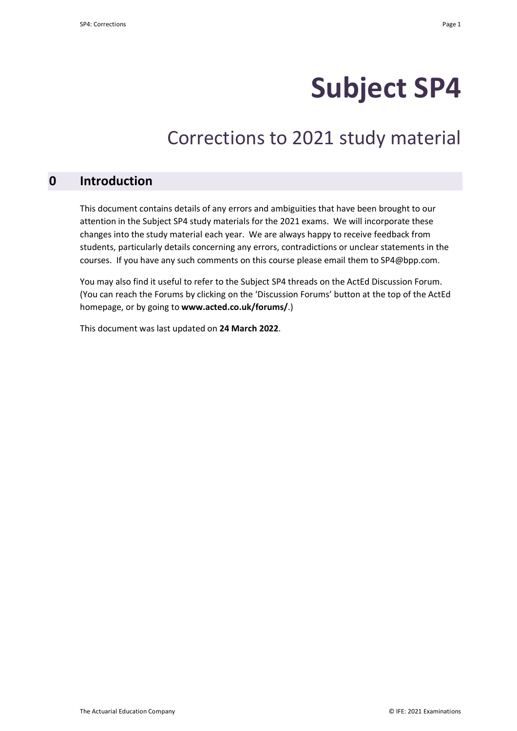# **Subject SP4**

## Corrections to 2021 study material

### **0 Introduction**

This document contains details of any errors and ambiguities that have been brought to our attention in the Subject SP4 study materials for the 2021 exams. We will incorporate these changes into the study material each year. We are always happy to receive feedback from students, particularly details concerning any errors, contradictions or unclear statements in the courses. If you have any such comments on this course please email them to SP4@bpp.com.

You may also find it useful to refer to the Subject SP4 threads on the ActEd Discussion Forum. (You can reach the Forums by clicking on the 'Discussion Forums' button at the top of the ActEd homepage, or by going to **www.acted.co.uk/forums/**.)

This document was last updated on **24 March 2022**.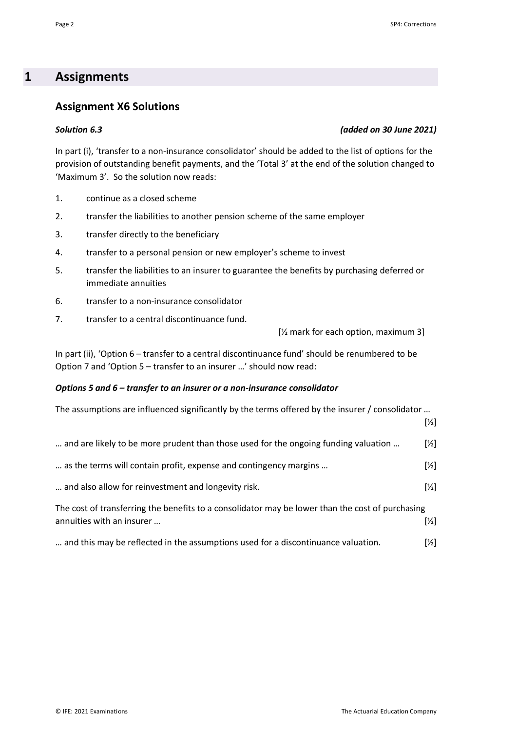### **1 Assignments**

#### **Assignment X6 Solutions**

#### *Solution 6.3 (added on 30 June 2021)*

In part (i), 'transfer to a non-insurance consolidator' should be added to the list of options for the provision of outstanding benefit payments, and the 'Total 3' at the end of the solution changed to 'Maximum 3'. So the solution now reads:

- 1. continue as a closed scheme
- 2. transfer the liabilities to another pension scheme of the same employer
- 3. transfer directly to the beneficiary
- 4. transfer to a personal pension or new employer's scheme to invest
- 5. transfer the liabilities to an insurer to guarantee the benefits by purchasing deferred or immediate annuities
- 6. transfer to a non-insurance consolidator
- 7. transfer to a central discontinuance fund.

[½ mark for each option, maximum 3]

In part (ii), 'Option 6 – transfer to a central discontinuance fund' should be renumbered to be Option 7 and 'Option 5 – transfer to an insurer …' should now read:

#### *Options 5 and 6 – transfer to an insurer or a non-insurance consolidator*

| The assumptions are influenced significantly by the terms offered by the insurer / consolidator  |                   |
|--------------------------------------------------------------------------------------------------|-------------------|
|                                                                                                  | $[\frac{1}{2}]$   |
| and are likely to be more prudent than those used for the ongoing funding valuation              | $[\frac{1}{2}]$   |
| as the terms will contain profit, expense and contingency margins                                | $[\frac{1}{2}]$   |
| and also allow for reinvestment and longevity risk.                                              | $[\frac{1}{2}]$   |
| The cost of transferring the benefits to a consolidator may be lower than the cost of purchasing |                   |
| annuities with an insurer                                                                        | [½]               |
| and this may be reflected in the assumptions used for a discontinuance valuation.                | $[\frac{\nu}{2}]$ |